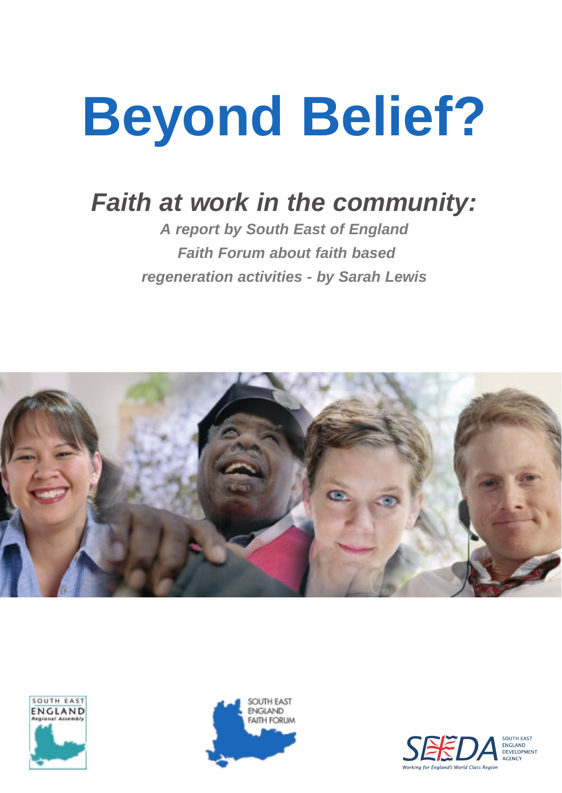# **Beyond Belief?**

## **Faith at work in the community:**

**A report by South East of England Faith Forum about faith based regeneration activities - by Sarah Lewis**







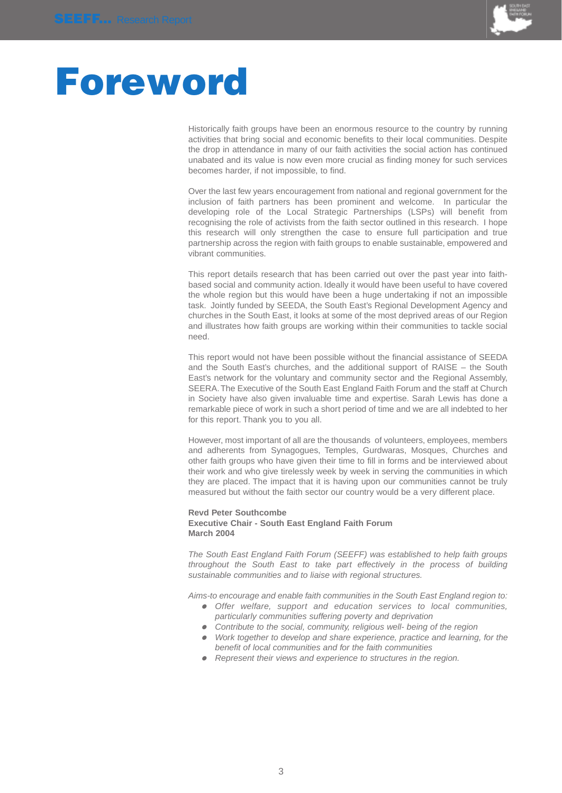

## **Foreword**

Historically faith groups have been an enormous resource to the country by running activities that bring social and economic benefits to their local communities. Despite the drop in attendance in many of our faith activities the social action has continued unabated and its value is now even more crucial as finding money for such services becomes harder, if not impossible, to find.

Over the last few years encouragement from national and regional government for the inclusion of faith partners has been prominent and welcome. In particular the developing role of the Local Strategic Partnerships (LSPs) will benefit from recognising the role of activists from the faith sector outlined in this research. I hope this research will only strengthen the case to ensure full participation and true partnership across the region with faith groups to enable sustainable, empowered and vibrant communities.

This report details research that has been carried out over the past year into faithbased social and community action. Ideally it would have been useful to have covered the whole region but this would have been a huge undertaking if not an impossible task. Jointly funded by SEEDA, the South East's Regional Development Agency and churches in the South East, it looks at some of the most deprived areas of our Region and illustrates how faith groups are working within their communities to tackle social need.

This report would not have been possible without the financial assistance of SEEDA and the South East's churches, and the additional support of RAISE – the South East's network for the voluntary and community sector and the Regional Assembly, SEERA.The Executive of the South East England Faith Forum and the staff at Church in Society have also given invaluable time and expertise. Sarah Lewis has done a remarkable piece of work in such a short period of time and we are all indebted to her for this report. Thank you to you all.

However, most important of all are the thousands of volunteers, employees, members and adherents from Synagogues, Temples, Gurdwaras, Mosques, Churches and other faith groups who have given their time to fill in forms and be interviewed about their work and who give tirelessly week by week in serving the communities in which they are placed. The impact that it is having upon our communities cannot be truly measured but without the faith sector our country would be a very different place.

### **Revd Peter Southcombe Executive Chair - South East England Faith Forum March 2004**

The South East England Faith Forum (SEEFF) was established to help faith groups throughout the South East to take part effectively in the process of building sustainable communities and to liaise with regional structures.

Aims-to encourage and enable faith communities in the South East England region to:

- Offer welfare, support and education services to local communities, particularly communities suffering poverty and deprivation
- Contribute to the social, community, religious well- being of the region
- Work together to develop and share experience, practice and learning, for the benefit of local communities and for the faith communities
- Represent their views and experience to structures in the region.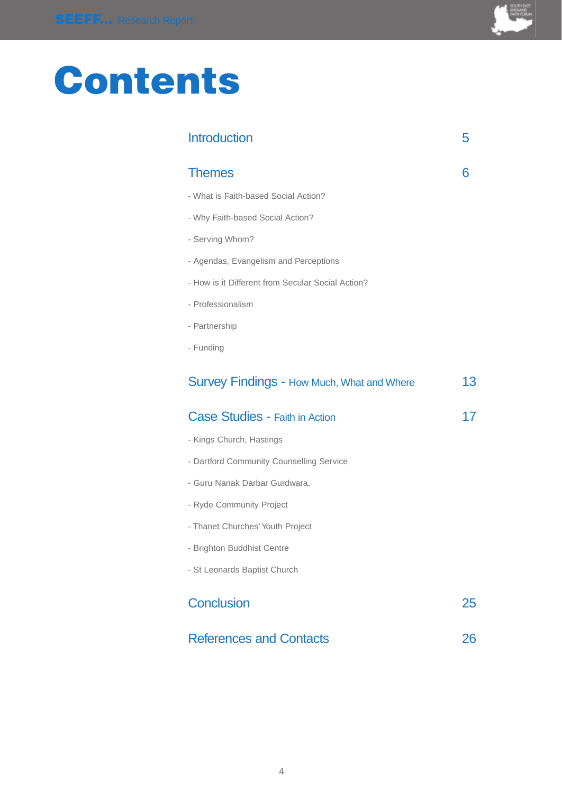

## **Contents**

| <b>Introduction</b>                               | 5  |
|---------------------------------------------------|----|
| <b>Themes</b>                                     | 6  |
| - What is Faith-based Social Action?              |    |
| - Why Faith-based Social Action?                  |    |
| - Serving Whom?                                   |    |
| - Agendas, Evangelism and Perceptions             |    |
| - How is it Different from Secular Social Action? |    |
| - Professionalism                                 |    |
| - Partnership                                     |    |
| - Funding                                         |    |
| <b>Survey Findings - How Much, What and Where</b> | 13 |
| Case Studies - Faith in Action                    | 17 |
| - Kings Church, Hastings                          |    |
| - Dartford Community Counselling Service          |    |
| - Guru Nanak Darbar Gurdwara,                     |    |
| - Ryde Community Project                          |    |
| - Thanet Churches' Youth Project                  |    |
| - Brighton Buddhist Centre                        |    |
| - St Leonards Baptist Church                      |    |
| <b>Conclusion</b>                                 | 25 |
| <b>References and Contacts</b>                    | 26 |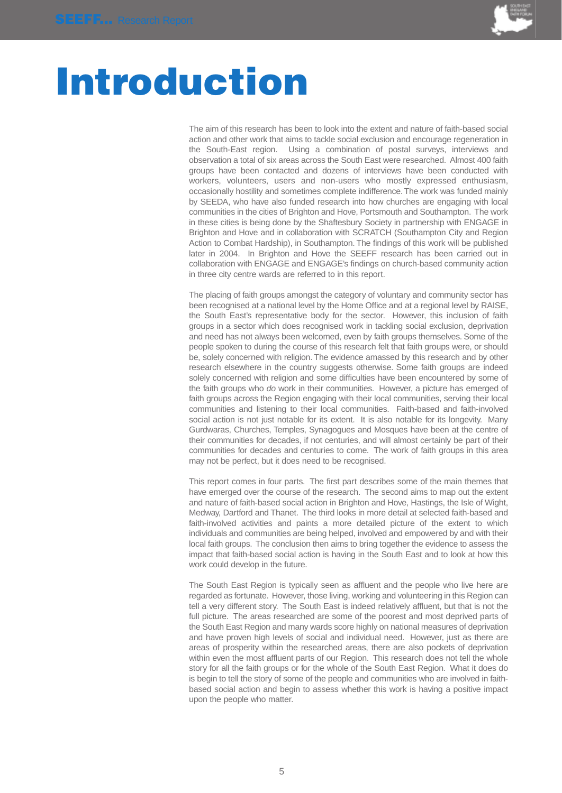

## **Introduction**

The aim of this research has been to look into the extent and nature of faith-based social action and other work that aims to tackle social exclusion and encourage regeneration in the South-East region. Using a combination of postal surveys, interviews and observation a total of six areas across the South East were researched. Almost 400 faith groups have been contacted and dozens of interviews have been conducted with workers, volunteers, users and non-users who mostly expressed enthusiasm, occasionally hostility and sometimes complete indifference.The work was funded mainly by SEEDA, who have also funded research into how churches are engaging with local communities in the cities of Brighton and Hove, Portsmouth and Southampton. The work in these cities is being done by the Shaftesbury Society in partnership with ENGAGE in Brighton and Hove and in collaboration with SCRATCH (Southampton City and Region Action to Combat Hardship), in Southampton. The findings of this work will be published later in 2004. In Brighton and Hove the SEEFF research has been carried out in collaboration with ENGAGE and ENGAGE's findings on church-based community action in three city centre wards are referred to in this report.

The placing of faith groups amongst the category of voluntary and community sector has been recognised at a national level by the Home Office and at a regional level by RAISE, the South East's representative body for the sector. However, this inclusion of faith groups in a sector which does recognised work in tackling social exclusion, deprivation and need has not always been welcomed, even by faith groups themselves. Some of the people spoken to during the course of this research felt that faith groups were, or should be, solely concerned with religion. The evidence amassed by this research and by other research elsewhere in the country suggests otherwise. Some faith groups are indeed solely concerned with religion and some difficulties have been encountered by some of the faith groups who do work in their communities. However, a picture has emerged of faith groups across the Region engaging with their local communities, serving their local communities and listening to their local communities. Faith-based and faith-involved social action is not just notable for its extent. It is also notable for its longevity. Many Gurdwaras, Churches, Temples, Synagogues and Mosques have been at the centre of their communities for decades, if not centuries, and will almost certainly be part of their communities for decades and centuries to come. The work of faith groups in this area may not be perfect, but it does need to be recognised.

This report comes in four parts. The first part describes some of the main themes that have emerged over the course of the research. The second aims to map out the extent and nature of faith-based social action in Brighton and Hove, Hastings, the Isle of Wight, Medway, Dartford and Thanet. The third looks in more detail at selected faith-based and faith-involved activities and paints a more detailed picture of the extent to which individuals and communities are being helped, involved and empowered by and with their local faith groups. The conclusion then aims to bring together the evidence to assess the impact that faith-based social action is having in the South East and to look at how this work could develop in the future.

The South East Region is typically seen as affluent and the people who live here are regarded as fortunate. However, those living, working and volunteering in this Region can tell a very different story. The South East is indeed relatively affluent, but that is not the full picture. The areas researched are some of the poorest and most deprived parts of the South East Region and many wards score highly on national measures of deprivation and have proven high levels of social and individual need. However, just as there are areas of prosperity within the researched areas, there are also pockets of deprivation within even the most affluent parts of our Region. This research does not tell the whole story for all the faith groups or for the whole of the South East Region. What it does do is begin to tell the story of some of the people and communities who are involved in faithbased social action and begin to assess whether this work is having a positive impact upon the people who matter.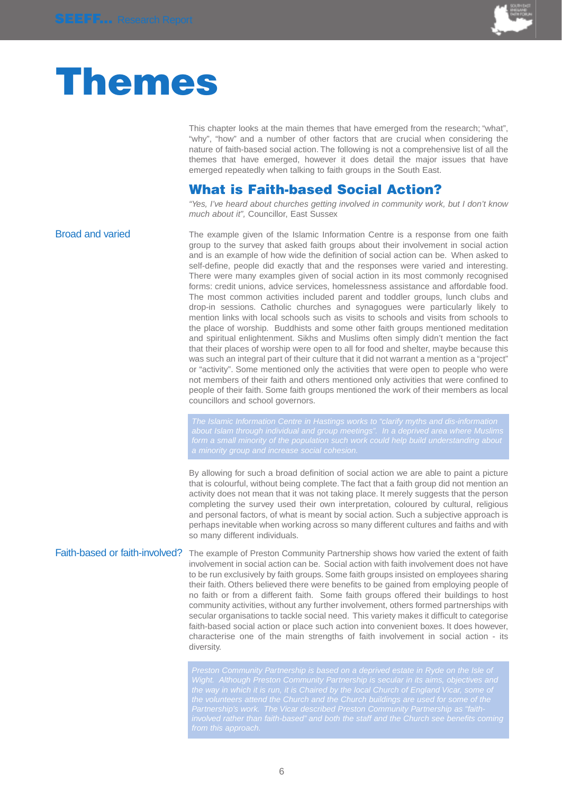

## **Themes**

This chapter looks at the main themes that have emerged from the research; "what", "why", "how" and a number of other factors that are crucial when considering the nature of faith-based social action. The following is not a comprehensive list of all the themes that have emerged, however it does detail the major issues that have emerged repeatedly when talking to faith groups in the South East.

## **What is Faith-based Social Action?**

"Yes, I've heard about churches getting involved in community work, but I don't know much about it", Councillor, East Sussex

Broad and varied The example given of the Islamic Information Centre is a response from one faith group to the survey that asked faith groups about their involvement in social action and is an example of how wide the definition of social action can be. When asked to self-define, people did exactly that and the responses were varied and interesting. There were many examples given of social action in its most commonly recognised forms: credit unions, advice services, homelessness assistance and affordable food. The most common activities included parent and toddler groups, lunch clubs and drop-in sessions. Catholic churches and synagogues were particularly likely to mention links with local schools such as visits to schools and visits from schools to the place of worship. Buddhists and some other faith groups mentioned meditation and spiritual enlightenment. Sikhs and Muslims often simply didn't mention the fact that their places of worship were open to all for food and shelter, maybe because this was such an integral part of their culture that it did not warrant a mention as a "project" or "activity". Some mentioned only the activities that were open to people who were not members of their faith and others mentioned only activities that were confined to people of their faith. Some faith groups mentioned the work of their members as local councillors and school governors.

By allowing for such a broad definition of social action we are able to paint a picture that is colourful, without being complete. The fact that a faith group did not mention an activity does not mean that it was not taking place. It merely suggests that the person completing the survey used their own interpretation, coloured by cultural, religious and personal factors, of what is meant by social action. Such a subjective approach is perhaps inevitable when working across so many different cultures and faiths and with so many different individuals.

Faith-based or faith-involved? The example of Preston Community Partnership shows how varied the extent of faith involvement in social action can be. Social action with faith involvement does not have to be run exclusively by faith groups. Some faith groups insisted on employees sharing their faith. Others believed there were benefits to be gained from employing people of no faith or from a different faith. Some faith groups offered their buildings to host community activities, without any further involvement, others formed partnerships with secular organisations to tackle social need. This variety makes it difficult to categorise faith-based social action or place such action into convenient boxes. It does however, characterise one of the main strengths of faith involvement in social action - its diversity.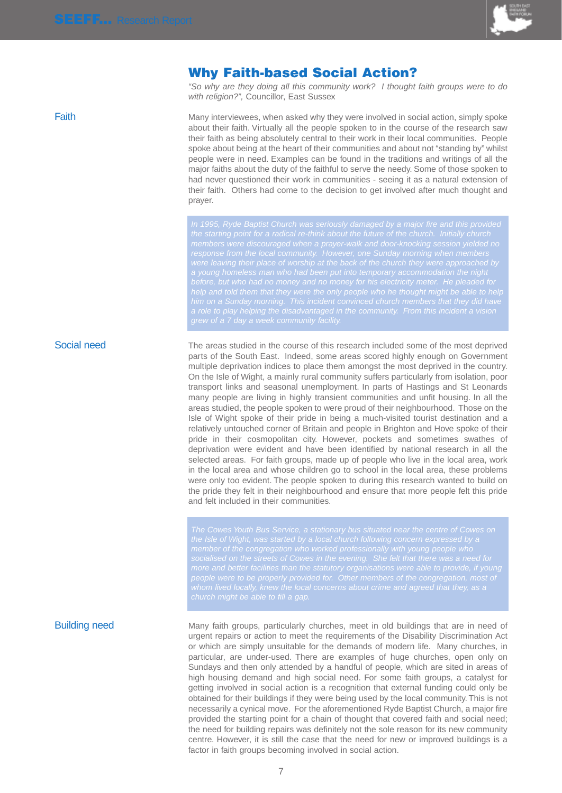

## **Why Faith-based Social Action?**

"So why are they doing all this community work? I thought faith groups were to do with religion?", Councillor, East Sussex

Faith **Faith** Many interviewees, when asked why they were involved in social action, simply spoke about their faith. Virtually all the people spoken to in the course of the research saw their faith as being absolutely central to their work in their local communities. People spoke about being at the heart of their communities and about not "standing by" whilst people were in need. Examples can be found in the traditions and writings of all the major faiths about the duty of the faithful to serve the needy. Some of those spoken to had never questioned their work in communities - seeing it as a natural extension of their faith. Others had come to the decision to get involved after much thought and prayer.

Social need The areas studied in the course of this research included some of the most deprived parts of the South East. Indeed, some areas scored highly enough on Government multiple deprivation indices to place them amongst the most deprived in the country. On the Isle of Wight, a mainly rural community suffers particularly from isolation, poor transport links and seasonal unemployment. In parts of Hastings and St Leonards many people are living in highly transient communities and unfit housing. In all the areas studied, the people spoken to were proud of their neighbourhood. Those on the Isle of Wight spoke of their pride in being a much-visited tourist destination and a relatively untouched corner of Britain and people in Brighton and Hove spoke of their pride in their cosmopolitan city. However, pockets and sometimes swathes of deprivation were evident and have been identified by national research in all the selected areas. For faith groups, made up of people who live in the local area, work in the local area and whose children go to school in the local area, these problems were only too evident. The people spoken to during this research wanted to build on the pride they felt in their neighbourhood and ensure that more people felt this pride and felt included in their communities.

Building need Many faith groups, particularly churches, meet in old buildings that are in need of urgent repairs or action to meet the requirements of the Disability Discrimination Act or which are simply unsuitable for the demands of modern life. Many churches, in particular, are under-used. There are examples of huge churches, open only on Sundays and then only attended by a handful of people, which are sited in areas of high housing demand and high social need. For some faith groups, a catalyst for getting involved in social action is a recognition that external funding could only be obtained for their buildings if they were being used by the local community. This is not necessarily a cynical move. For the aforementioned Ryde Baptist Church, a major fire provided the starting point for a chain of thought that covered faith and social need; the need for building repairs was definitely not the sole reason for its new community centre. However, it is still the case that the need for new or improved buildings is a factor in faith groups becoming involved in social action.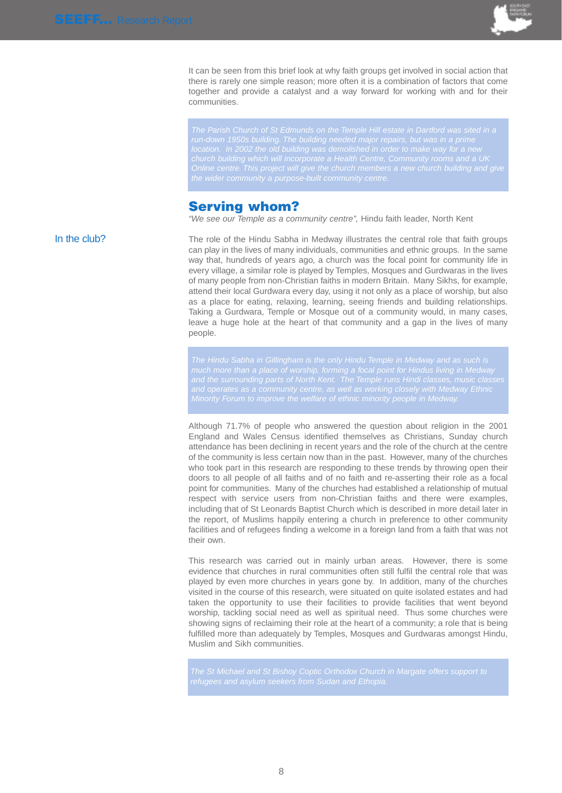

It can be seen from this brief look at why faith groups get involved in social action that there is rarely one simple reason; more often it is a combination of factors that come together and provide a catalyst and a way forward for working with and for their communities.

The Parish Church of St Edmunds on the Temple Hill estate in Dartford was sited in a

### **Serving whom?**

"We see our Temple as a community centre", Hindu faith leader, North Kent

In the club? The role of the Hindu Sabha in Medway illustrates the central role that faith groups can play in the lives of many individuals, communities and ethnic groups. In the same way that, hundreds of years ago, a church was the focal point for community life in every village, a similar role is played by Temples, Mosques and Gurdwaras in the lives of many people from non-Christian faiths in modern Britain. Many Sikhs, for example, attend their local Gurdwara every day, using it not only as a place of worship, but also as a place for eating, relaxing, learning, seeing friends and building relationships. Taking a Gurdwara, Temple or Mosque out of a community would, in many cases, leave a huge hole at the heart of that community and a gap in the lives of many people.

Minority Forum to improve the welfare of ethnic minority people in Medway.

Although 71.7% of people who answered the question about religion in the 2001 England and Wales Census identified themselves as Christians, Sunday church attendance has been declining in recent years and the role of the church at the centre of the community is less certain now than in the past. However, many of the churches who took part in this research are responding to these trends by throwing open their doors to all people of all faiths and of no faith and re-asserting their role as a focal point for communities. Many of the churches had established a relationship of mutual respect with service users from non-Christian faiths and there were examples, including that of St Leonards Baptist Church which is described in more detail later in the report, of Muslims happily entering a church in preference to other community facilities and of refugees finding a welcome in a foreign land from a faith that was not their own.

This research was carried out in mainly urban areas. However, there is some evidence that churches in rural communities often still fulfil the central role that was played by even more churches in years gone by. In addition, many of the churches visited in the course of this research, were situated on quite isolated estates and had taken the opportunity to use their facilities to provide facilities that went beyond worship, tackling social need as well as spiritual need. Thus some churches were showing signs of reclaiming their role at the heart of a community; a role that is being fulfilled more than adequately by Temples, Mosques and Gurdwaras amongst Hindu, Muslim and Sikh communities.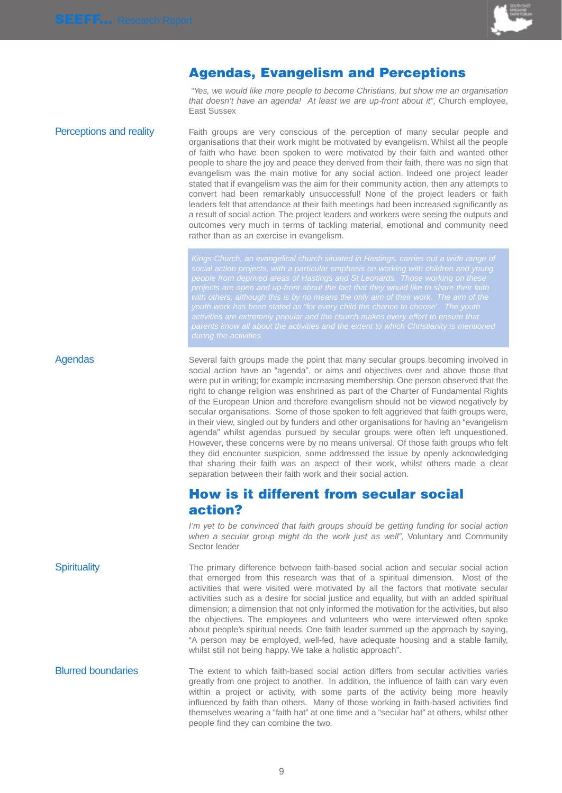

## **Agendas, Evangelism and Perceptions**

"Yes, we would like more people to become Christians, but show me an organisation that doesn't have an agenda! At least we are up-front about it", Church employee, East Sussex

**Perceptions and reality** Faith groups are very conscious of the perception of many secular people and organisations that their work might be motivated by evangelism. Whilst all the people of faith who have been spoken to were motivated by their faith and wanted other people to share the joy and peace they derived from their faith, there was no sign that evangelism was the main motive for any social action. Indeed one project leader stated that if evangelism was the aim for their community action, then any attempts to convert had been remarkably unsuccessful! None of the project leaders or faith leaders felt that attendance at their faith meetings had been increased significantly as a result of social action. The project leaders and workers were seeing the outputs and outcomes very much in terms of tackling material, emotional and community need rather than as an exercise in evangelism.

Agendas Several faith groups made the point that many secular groups becoming involved in social action have an "agenda", or aims and objectives over and above those that were put in writing; for example increasing membership. One person observed that the right to change religion was enshrined as part of the Charter of Fundamental Rights of the European Union and therefore evangelism should not be viewed negatively by secular organisations. Some of those spoken to felt aggrieved that faith groups were, in their view, singled out by funders and other organisations for having an "evangelism agenda" whilst agendas pursued by secular groups were often left unquestioned. However, these concerns were by no means universal. Of those faith groups who felt they did encounter suspicion, some addressed the issue by openly acknowledging that sharing their faith was an aspect of their work, whilst others made a clear separation between their faith work and their social action.

## **How is it different from secular social action?**

I'm yet to be convinced that faith groups should be getting funding for social action when a secular group might do the work just as well", Voluntary and Community Sector leader

Spirituality The primary difference between faith-based social action and secular social action that emerged from this research was that of a spiritual dimension. Most of the activities that were visited were motivated by all the factors that motivate secular activities such as a desire for social justice and equality, but with an added spiritual dimension; a dimension that not only informed the motivation for the activities, but also the objectives. The employees and volunteers who were interviewed often spoke about people's spiritual needs. One faith leader summed up the approach by saying, "A person may be employed, well-fed, have adequate housing and a stable family, whilst still not being happy. We take a holistic approach".

Blurred boundaries The extent to which faith-based social action differs from secular activities varies greatly from one project to another. In addition, the influence of faith can vary even within a project or activity, with some parts of the activity being more heavily influenced by faith than others. Many of those working in faith-based activities find themselves wearing a "faith hat" at one time and a "secular hat" at others, whilst other people find they can combine the two.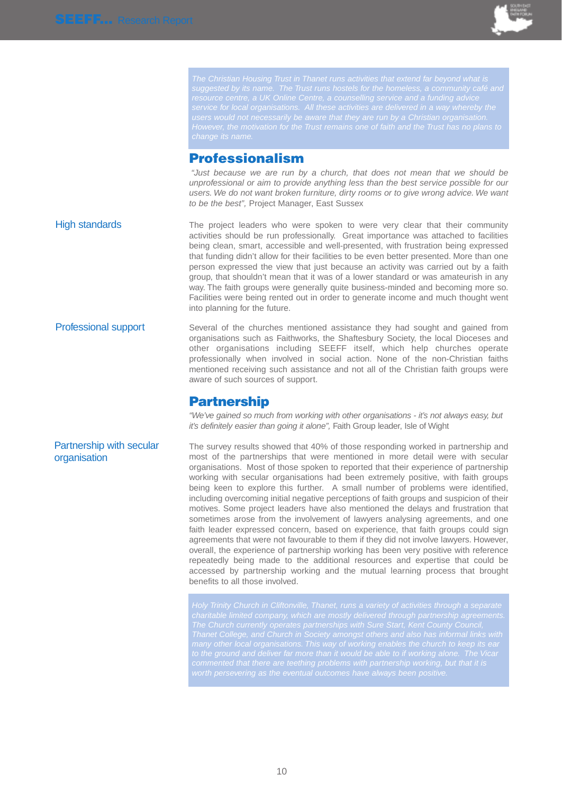

## **Professionalism**

"Just because we are run by a church, that does not mean that we should be unprofessional or aim to provide anything less than the best service possible for our users. We do not want broken furniture, dirty rooms or to give wrong advice. We want to be the best", Project Manager, East Sussex

High standards The project leaders who were spoken to were very clear that their community activities should be run professionally. Great importance was attached to facilities being clean, smart, accessible and well-presented, with frustration being expressed that funding didn't allow for their facilities to be even better presented. More than one person expressed the view that just because an activity was carried out by a faith group, that shouldn't mean that it was of a lower standard or was amateurish in any way. The faith groups were generally quite business-minded and becoming more so. Facilities were being rented out in order to generate income and much thought went into planning for the future.

**Professional support** Several of the churches mentioned assistance they had sought and gained from organisations such as Faithworks, the Shaftesbury Society, the local Dioceses and other organisations including SEEFF itself, which help churches operate professionally when involved in social action. None of the non-Christian faiths mentioned receiving such assistance and not all of the Christian faith groups were aware of such sources of support.

## **Partnership**

"We've gained so much from working with other organisations - it's not always easy, but it's definitely easier than going it alone", Faith Group leader, Isle of Wight

The survey results showed that 40% of those responding worked in partnership and most of the partnerships that were mentioned in more detail were with secular organisations. Most of those spoken to reported that their experience of partnership working with secular organisations had been extremely positive, with faith groups being keen to explore this further. A small number of problems were identified, including overcoming initial negative perceptions of faith groups and suspicion of their motives. Some project leaders have also mentioned the delays and frustration that sometimes arose from the involvement of lawyers analysing agreements, and one faith leader expressed concern, based on experience, that faith groups could sign agreements that were not favourable to them if they did not involve lawyers. However, overall, the experience of partnership working has been very positive with reference repeatedly being made to the additional resources and expertise that could be accessed by partnership working and the mutual learning process that brought benefits to all those involved.

Holy Trinity Church in Cliftonville, Thanet, runs a variety of activities through a separate

Partnership with secular organisation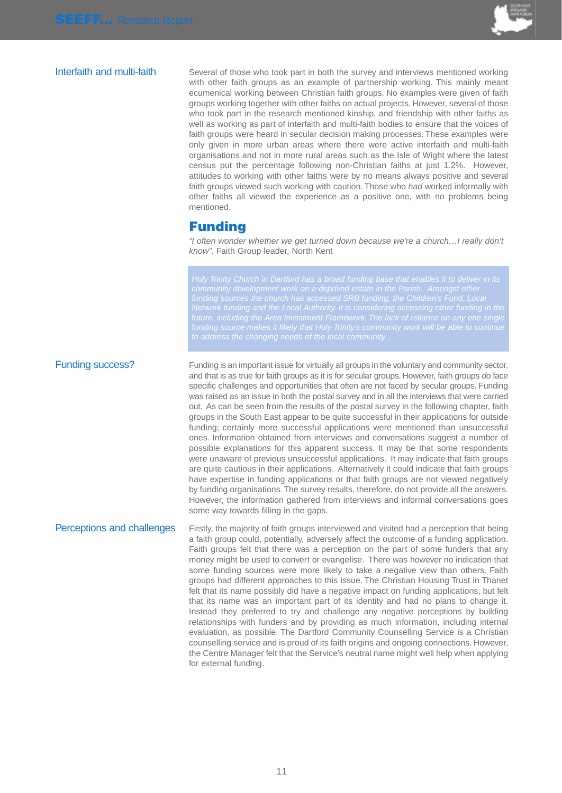

Interfaith and multi-faith Several of those who took part in both the survey and interviews mentioned working with other faith groups as an example of partnership working. This mainly meant ecumenical working between Christian faith groups. No examples were given of faith groups working together with other faiths on actual projects. However, several of those who took part in the research mentioned kinship, and friendship with other faiths as well as working as part of interfaith and multi-faith bodies to ensure that the voices of faith groups were heard in secular decision making processes. These examples were only given in more urban areas where there were active interfaith and multi-faith organisations and not in more rural areas such as the Isle of Wight where the latest census put the percentage following non-Christian faiths at just 1.2%. However, attitudes to working with other faiths were by no means always positive and several faith groups viewed such working with caution. Those who had worked informally with other faiths all viewed the experience as a positive one, with no problems being mentioned.

### **Funding**

"I often wonder whether we get turned down because we're a church…I really don't know", Faith Group leader, North Kent

Holy Trinity Church in Dartford has a broad funding base that enables it to deliver in its funding sources the church has accessed SRB funding, the Children's Fund, Local

Funding success? Funding is an important issue for virtually all groups in the voluntary and community sector, and that is as true for faith groups as it is for secular groups. However, faith groups do face specific challenges and opportunities that often are not faced by secular groups. Funding was raised as an issue in both the postal survey and in all the interviews that were carried out. As can be seen from the results of the postal survey in the following chapter, faith groups in the South East appear to be quite successful in their applications for outside funding; certainly more successful applications were mentioned than unsuccessful ones. Information obtained from interviews and conversations suggest a number of possible explanations for this apparent success. It may be that some respondents were unaware of previous unsuccessful applications. It may indicate that faith groups are quite cautious in their applications. Alternatively it could indicate that faith groups have expertise in funding applications or that faith groups are not viewed negatively by funding organisations.The survey results, therefore, do not provide all the answers. However, the information gathered from interviews and informal conversations goes some way towards filling in the gaps.

Perceptions and challenges Firstly, the majority of faith groups interviewed and visited had a perception that being a faith group could, potentially, adversely affect the outcome of a funding application. Faith groups felt that there was a perception on the part of some funders that any money might be used to convert or evangelise. There was however no indication that some funding sources were more likely to take a negative view than others. Faith groups had different approaches to this issue. The Christian Housing Trust in Thanet felt that its name possibly did have a negative impact on funding applications, but felt that its name was an important part of its identity and had no plans to change it. Instead they preferred to try and challenge any negative perceptions by building relationships with funders and by providing as much information, including internal evaluation, as possible. The Dartford Community Counselling Service is a Christian counselling service and is proud of its faith origins and ongoing connections. However, the Centre Manager felt that the Service's neutral name might well help when applying for external funding.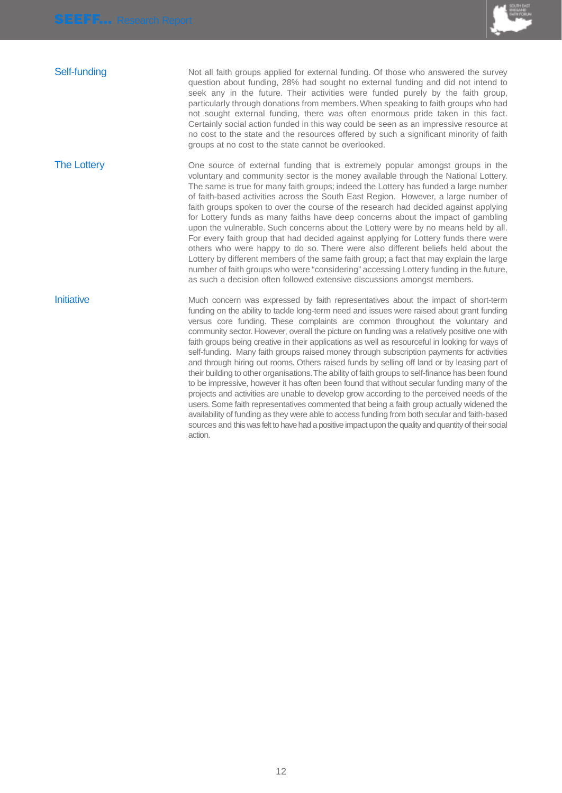

Self-funding Not all faith groups applied for external funding. Of those who answered the survey question about funding, 28% had sought no external funding and did not intend to seek any in the future. Their activities were funded purely by the faith group, particularly through donations from members. When speaking to faith groups who had not sought external funding, there was often enormous pride taken in this fact. Certainly social action funded in this way could be seen as an impressive resource at no cost to the state and the resources offered by such a significant minority of faith groups at no cost to the state cannot be overlooked.

The Lottery **Cone** source of external funding that is extremely popular amongst groups in the voluntary and community sector is the money available through the National Lottery. The same is true for many faith groups; indeed the Lottery has funded a large number of faith-based activities across the South East Region. However, a large number of faith groups spoken to over the course of the research had decided against applying for Lottery funds as many faiths have deep concerns about the impact of gambling upon the vulnerable. Such concerns about the Lottery were by no means held by all. For every faith group that had decided against applying for Lottery funds there were others who were happy to do so. There were also different beliefs held about the Lottery by different members of the same faith group; a fact that may explain the large number of faith groups who were "considering" accessing Lottery funding in the future, as such a decision often followed extensive discussions amongst members.

Initiative **Initiative** Much concern was expressed by faith representatives about the impact of short-term funding on the ability to tackle long-term need and issues were raised about grant funding versus core funding. These complaints are common throughout the voluntary and community sector. However, overall the picture on funding was a relatively positive one with faith groups being creative in their applications as well as resourceful in looking for ways of self-funding. Many faith groups raised money through subscription payments for activities and through hiring out rooms. Others raised funds by selling off land or by leasing part of their building to other organisations.The ability of faith groups to self-finance has been found to be impressive, however it has often been found that without secular funding many of the projects and activities are unable to develop grow according to the perceived needs of the users. Some faith representatives commented that being a faith group actually widened the availability of funding as they were able to access funding from both secular and faith-based sources and this was felt to have had a positive impact upon the quality and quantity of their social action.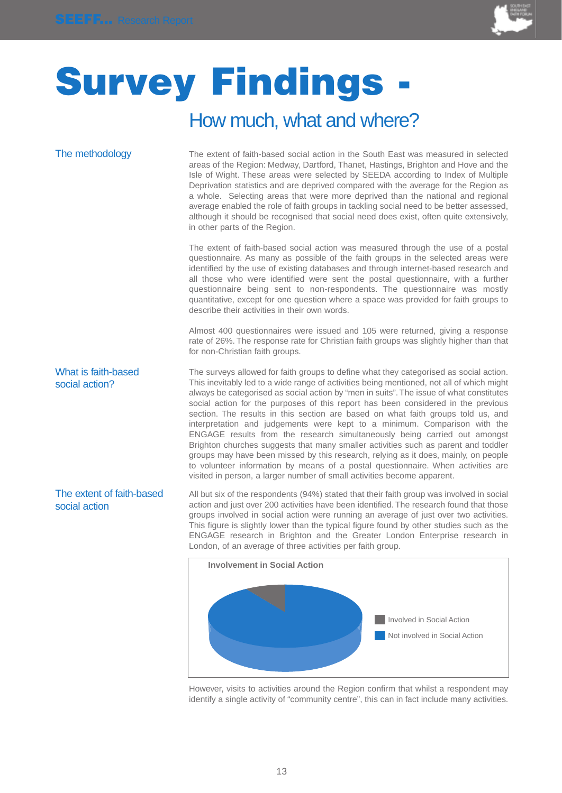

## **Survey Findings** How much, what and where?

The extent of faith-based

social action

The methodology The extent of faith-based social action in the South East was measured in selected areas of the Region: Medway, Dartford, Thanet, Hastings, Brighton and Hove and the Isle of Wight. These areas were selected by SEEDA according to Index of Multiple Deprivation statistics and are deprived compared with the average for the Region as a whole. Selecting areas that were more deprived than the national and regional average enabled the role of faith groups in tackling social need to be better assessed, although it should be recognised that social need does exist, often quite extensively, in other parts of the Region.

> The extent of faith-based social action was measured through the use of a postal questionnaire. As many as possible of the faith groups in the selected areas were identified by the use of existing databases and through internet-based research and all those who were identified were sent the postal questionnaire, with a further questionnaire being sent to non-respondents. The questionnaire was mostly quantitative, except for one question where a space was provided for faith groups to describe their activities in their own words.

> Almost 400 questionnaires were issued and 105 were returned, giving a response rate of 26%. The response rate for Christian faith groups was slightly higher than that for non-Christian faith groups.

The surveys allowed for faith groups to define what they categorised as social action. This inevitably led to a wide range of activities being mentioned, not all of which might always be categorised as social action by "men in suits". The issue of what constitutes social action for the purposes of this report has been considered in the previous section. The results in this section are based on what faith groups told us, and interpretation and judgements were kept to a minimum. Comparison with the ENGAGE results from the research simultaneously being carried out amongst Brighton churches suggests that many smaller activities such as parent and toddler groups may have been missed by this research, relying as it does, mainly, on people to volunteer information by means of a postal questionnaire. When activities are visited in person, a larger number of small activities become apparent. What is faith-based social action?

### All but six of the respondents (94%) stated that their faith group was involved in social action and just over 200 activities have been identified. The research found that those groups involved in social action were running an average of just over two activities. This figure is slightly lower than the typical figure found by other studies such as the ENGAGE research in Brighton and the Greater London Enterprise research in London, of an average of three activities per faith group.



However, visits to activities around the Region confirm that whilst a respondent may identify a single activity of "community centre", this can in fact include many activities.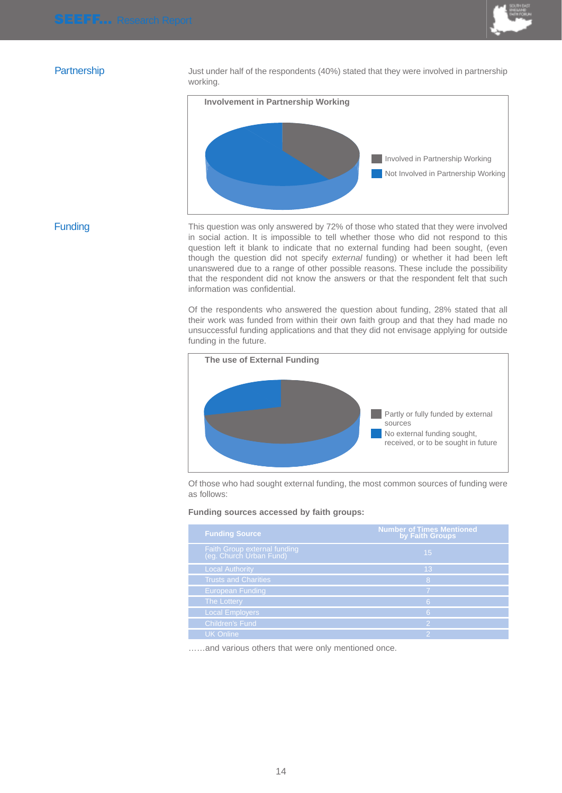

Partnership Just under half of the respondents (40%) stated that they were involved in partnership working.



### **Funding**

This question was only answered by 72% of those who stated that they were involved in social action. It is impossible to tell whether those who did not respond to this question left it blank to indicate that no external funding had been sought, (even though the question did not specify external funding) or whether it had been left unanswered due to a range of other possible reasons. These include the possibility that the respondent did not know the answers or that the respondent felt that such information was confidential.

Of the respondents who answered the question about funding, 28% stated that all their work was funded from within their own faith group and that they had made no unsuccessful funding applications and that they did not envisage applying for outside funding in the future.



Of those who had sought external funding, the most common sources of funding were as follows:

### **Funding sources accessed by faith groups:**

| <b>Funding Source</b>                                   | <b>Number of Times Mentioned</b><br>by Faith Groups |
|---------------------------------------------------------|-----------------------------------------------------|
| Faith Group external funding<br>(eg. Church Urban Fund) | 15                                                  |
| <b>Local Authority</b>                                  | 13                                                  |
| <b>Trusts and Charities</b>                             | 8                                                   |
| <b>European Funding</b>                                 |                                                     |
| <b>The Lottery</b>                                      | 6                                                   |
| <b>Local Employers</b>                                  | 6                                                   |
| <b>Children's Fund</b>                                  | $\mathcal{P}$                                       |
| <b>UK Online</b>                                        | 2                                                   |

……and various others that were only mentioned once.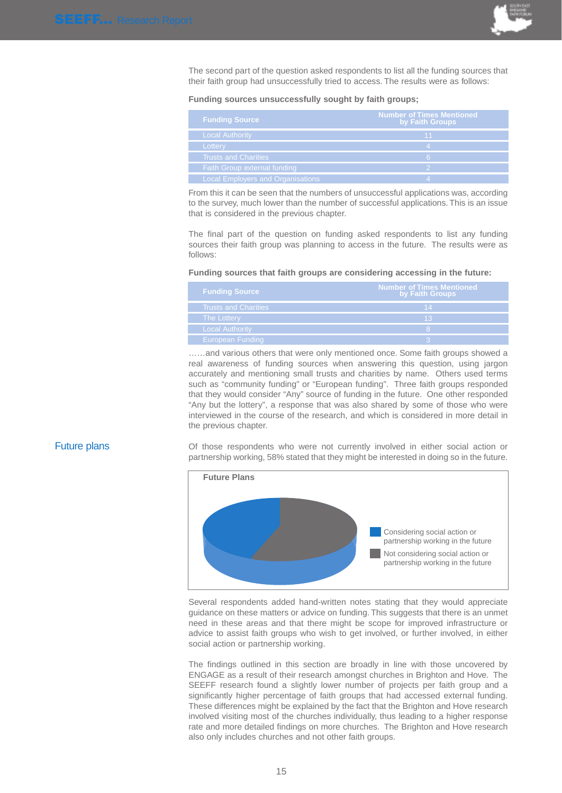

The second part of the question asked respondents to list all the funding sources that their faith group had unsuccessfully tried to access. The results were as follows:

**Funding sources unsuccessfully sought by faith groups;**

| <b>Funding Source</b>                    | Number of Times Mentioned<br>by Faith Groups |
|------------------------------------------|----------------------------------------------|
| <b>Local Authority</b>                   | 11                                           |
| Lottery                                  |                                              |
| <b>Trusts and Charities</b>              | 6                                            |
| Faith Group external funding             |                                              |
| <b>Local Employers and Organisations</b> |                                              |

From this it can be seen that the numbers of unsuccessful applications was, according to the survey, much lower than the number of successful applications. This is an issue that is considered in the previous chapter.

The final part of the question on funding asked respondents to list any funding sources their faith group was planning to access in the future. The results were as follows:

### **Funding sources that faith groups are considering accessing in the future:**

| <b>Funding Source</b>   | <b>Number of Times Mentioned</b><br>by Faith Groups |
|-------------------------|-----------------------------------------------------|
| Trusts and Charities    | 14                                                  |
| The Lottery             | 13                                                  |
| <b>Local Authority</b>  |                                                     |
| <b>European Funding</b> |                                                     |

……and various others that were only mentioned once. Some faith groups showed a real awareness of funding sources when answering this question, using jargon accurately and mentioning small trusts and charities by name. Others used terms such as "community funding" or "European funding". Three faith groups responded that they would consider "Any" source of funding in the future. One other responded "Any but the lottery", a response that was also shared by some of those who were interviewed in the course of the research, and which is considered in more detail in the previous chapter.

Future plans The Social action of those respondents who were not currently involved in either social action or partnership working, 58% stated that they might be interested in doing so in the future.



Several respondents added hand-written notes stating that they would appreciate guidance on these matters or advice on funding. This suggests that there is an unmet need in these areas and that there might be scope for improved infrastructure or advice to assist faith groups who wish to get involved, or further involved, in either social action or partnership working.

The findings outlined in this section are broadly in line with those uncovered by ENGAGE as a result of their research amongst churches in Brighton and Hove. The SEEFF research found a slightly lower number of projects per faith group and a significantly higher percentage of faith groups that had accessed external funding. These differences might be explained by the fact that the Brighton and Hove research involved visiting most of the churches individually, thus leading to a higher response rate and more detailed findings on more churches. The Brighton and Hove research also only includes churches and not other faith groups.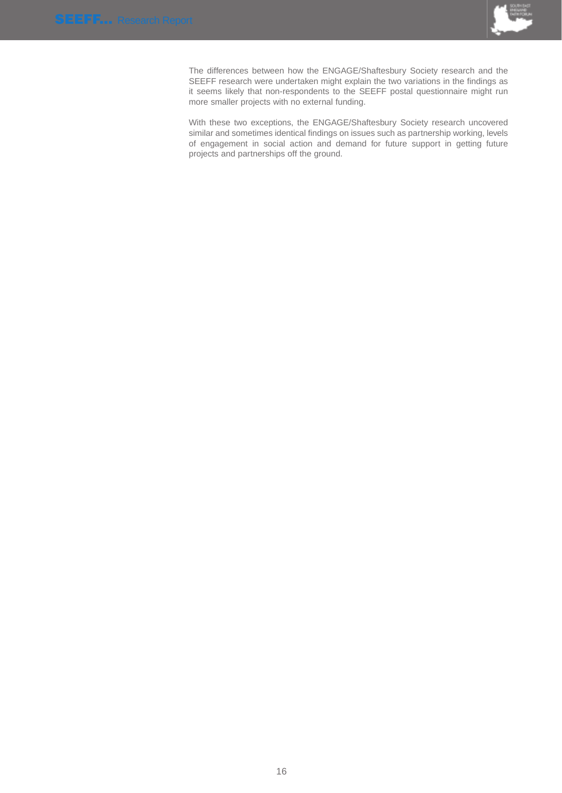

The differences between how the ENGAGE/Shaftesbury Society research and the SEEFF research were undertaken might explain the two variations in the findings as it seems likely that non-respondents to the SEEFF postal questionnaire might run more smaller projects with no external funding.

With these two exceptions, the ENGAGE/Shaftesbury Society research uncovered similar and sometimes identical findings on issues such as partnership working, levels of engagement in social action and demand for future support in getting future projects and partnerships off the ground.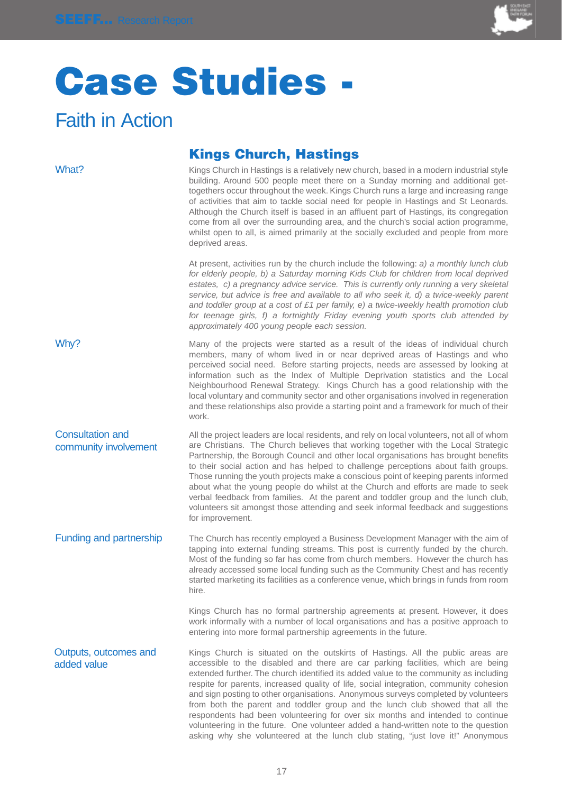

## **Case Studies -**

## Faith in Action

### **Kings Church, Hastings**  What? Kings Church in Hastings is a relatively new church, based in a modern industrial style building. Around 500 people meet there on a Sunday morning and additional gettogethers occur throughout the week. Kings Church runs a large and increasing range of activities that aim to tackle social need for people in Hastings and St Leonards. Although the Church itself is based in an affluent part of Hastings, its congregation come from all over the surrounding area, and the church's social action programme, whilst open to all, is aimed primarily at the socially excluded and people from more deprived areas. At present, activities run by the church include the following: a) a monthly lunch club for elderly people, b) a Saturday morning Kids Club for children from local deprived estates, c) a pregnancy advice service. This is currently only running a very skeletal service, but advice is free and available to all who seek it, d) a twice-weekly parent and toddler group at a cost of £1 per family, e) a twice-weekly health promotion club for teenage girls, f) a fortnightly Friday evening youth sports club attended by approximately 400 young people each session. Why? Many of the projects were started as a result of the ideas of individual church members, many of whom lived in or near deprived areas of Hastings and who perceived social need. Before starting projects, needs are assessed by looking at information such as the Index of Multiple Deprivation statistics and the Local Neighbourhood Renewal Strategy. Kings Church has a good relationship with the local voluntary and community sector and other organisations involved in regeneration and these relationships also provide a starting point and a framework for much of their work. All the project leaders are local residents, and rely on local volunteers, not all of whom are Christians. The Church believes that working together with the Local Strategic Partnership, the Borough Council and other local organisations has brought benefits to their social action and has helped to challenge perceptions about faith groups. Those running the youth projects make a conscious point of keeping parents informed about what the young people do whilst at the Church and efforts are made to seek verbal feedback from families. At the parent and toddler group and the lunch club, volunteers sit amongst those attending and seek informal feedback and suggestions for improvement. Funding and partnership The Church has recently employed a Business Development Manager with the aim of tapping into external funding streams. This post is currently funded by the church. Most of the funding so far has come from church members. However the church has already accessed some local funding such as the Community Chest and has recently started marketing its facilities as a conference venue, which brings in funds from room hire. Kings Church has no formal partnership agreements at present. However, it does work informally with a number of local organisations and has a positive approach to entering into more formal partnership agreements in the future. Kings Church is situated on the outskirts of Hastings. All the public areas are accessible to the disabled and there are car parking facilities, which are being extended further. The church identified its added value to the community as including respite for parents, increased quality of life, social integration, community cohesion and sign posting to other organisations. Anonymous surveys completed by volunteers from both the parent and toddler group and the lunch club showed that all the respondents had been volunteering for over six months and intended to continue volunteering in the future. One volunteer added a hand-written note to the question Consultation and community involvement Outputs, outcomes and added value

asking why she volunteered at the lunch club stating, "just love it!" Anonymous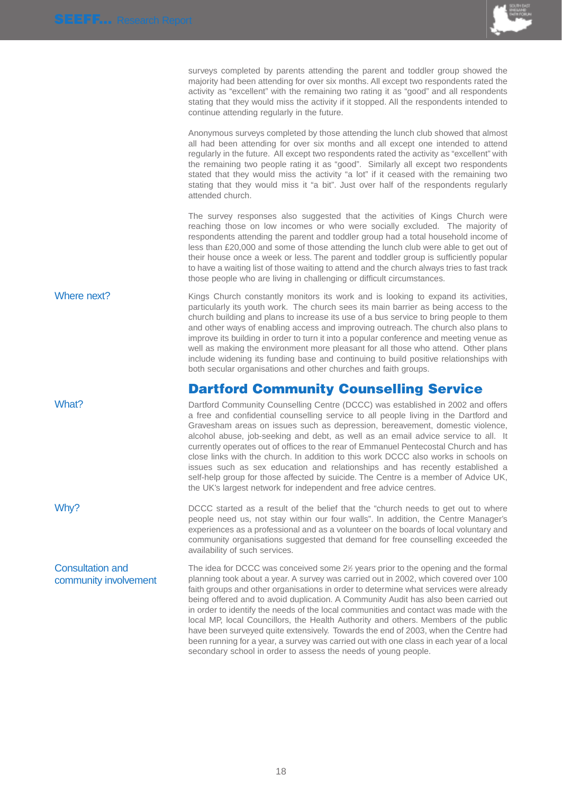

surveys completed by parents attending the parent and toddler group showed the majority had been attending for over six months. All except two respondents rated the activity as "excellent" with the remaining two rating it as "good" and all respondents stating that they would miss the activity if it stopped. All the respondents intended to continue attending regularly in the future.

Anonymous surveys completed by those attending the lunch club showed that almost all had been attending for over six months and all except one intended to attend regularly in the future. All except two respondents rated the activity as "excellent" with the remaining two people rating it as "good". Similarly all except two respondents stated that they would miss the activity "a lot" if it ceased with the remaining two stating that they would miss it "a bit". Just over half of the respondents regularly attended church.

The survey responses also suggested that the activities of Kings Church were reaching those on low incomes or who were socially excluded. The majority of respondents attending the parent and toddler group had a total household income of less than £20,000 and some of those attending the lunch club were able to get out of their house once a week or less. The parent and toddler group is sufficiently popular to have a waiting list of those waiting to attend and the church always tries to fast track those people who are living in challenging or difficult circumstances.

Where next? Kings Church constantly monitors its work and is looking to expand its activities, particularly its youth work. The church sees its main barrier as being access to the church building and plans to increase its use of a bus service to bring people to them and other ways of enabling access and improving outreach. The church also plans to improve its building in order to turn it into a popular conference and meeting venue as well as making the environment more pleasant for all those who attend. Other plans include widening its funding base and continuing to build positive relationships with both secular organisations and other churches and faith groups.

## **Dartford Community Counselling Service**

What? Dartford Community Counselling Centre (DCCC) was established in 2002 and offers a free and confidential counselling service to all people living in the Dartford and Gravesham areas on issues such as depression, bereavement, domestic violence, alcohol abuse, job-seeking and debt, as well as an email advice service to all. It currently operates out of offices to the rear of Emmanuel Pentecostal Church and has close links with the church. In addition to this work DCCC also works in schools on issues such as sex education and relationships and has recently established a self-help group for those affected by suicide. The Centre is a member of Advice UK, the UK's largest network for independent and free advice centres.

Why? DCCC started as a result of the belief that the "church needs to get out to where people need us, not stay within our four walls". In addition, the Centre Manager's experiences as a professional and as a volunteer on the boards of local voluntary and community organisations suggested that demand for free counselling exceeded the availability of such services.

The idea for DCCC was conceived some 2½ years prior to the opening and the formal planning took about a year. A survey was carried out in 2002, which covered over 100 faith groups and other organisations in order to determine what services were already being offered and to avoid duplication. A Community Audit has also been carried out in order to identify the needs of the local communities and contact was made with the local MP, local Councillors, the Health Authority and others. Members of the public have been surveyed quite extensively. Towards the end of 2003, when the Centre had been running for a year, a survey was carried out with one class in each year of a local secondary school in order to assess the needs of young people. Consultation and community involvement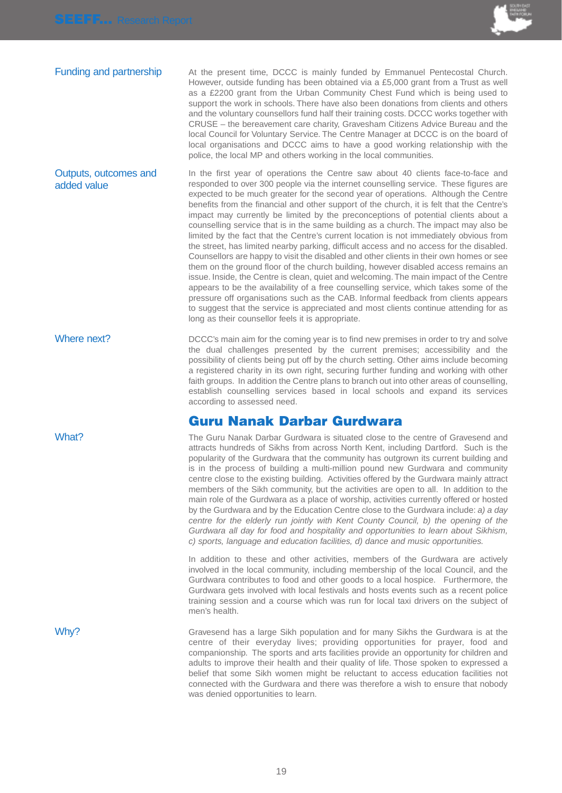

**Funding and partnership** At the present time, DCCC is mainly funded by Emmanuel Pentecostal Church. However, outside funding has been obtained via a £5,000 grant from a Trust as well as a £2200 grant from the Urban Community Chest Fund which is being used to support the work in schools. There have also been donations from clients and others and the voluntary counsellors fund half their training costs. DCCC works together with CRUSE – the bereavement care charity, Gravesham Citizens Advice Bureau and the local Council for Voluntary Service. The Centre Manager at DCCC is on the board of local organisations and DCCC aims to have a good working relationship with the police, the local MP and others working in the local communities.

In the first year of operations the Centre saw about 40 clients face-to-face and responded to over 300 people via the internet counselling service. These figures are expected to be much greater for the second year of operations. Although the Centre benefits from the financial and other support of the church, it is felt that the Centre's impact may currently be limited by the preconceptions of potential clients about a counselling service that is in the same building as a church. The impact may also be limited by the fact that the Centre's current location is not immediately obvious from the street, has limited nearby parking, difficult access and no access for the disabled. Counsellors are happy to visit the disabled and other clients in their own homes or see them on the ground floor of the church building, however disabled access remains an issue. Inside, the Centre is clean, quiet and welcoming. The main impact of the Centre appears to be the availability of a free counselling service, which takes some of the pressure off organisations such as the CAB. Informal feedback from clients appears to suggest that the service is appreciated and most clients continue attending for as long as their counsellor feels it is appropriate. Outputs, outcomes and added value

Where next? DCCC's main aim for the coming year is to find new premises in order to try and solve the dual challenges presented by the current premises; accessibility and the possibility of clients being put off by the church setting. Other aims include becoming a registered charity in its own right, securing further funding and working with other faith groups. In addition the Centre plans to branch out into other areas of counselling, establish counselling services based in local schools and expand its services according to assessed need.

## **Guru Nanak Darbar Gurdwara**

What? The Guru Nanak Darbar Gurdwara is situated close to the centre of Gravesend and attracts hundreds of Sikhs from across North Kent, including Dartford. Such is the popularity of the Gurdwara that the community has outgrown its current building and is in the process of building a multi-million pound new Gurdwara and community centre close to the existing building. Activities offered by the Gurdwara mainly attract members of the Sikh community, but the activities are open to all. In addition to the main role of the Gurdwara as a place of worship, activities currently offered or hosted by the Gurdwara and by the Education Centre close to the Gurdwara include: a) a day centre for the elderly run jointly with Kent County Council, b) the opening of the Gurdwara all day for food and hospitality and opportunities to learn about Sikhism, c) sports, language and education facilities, d) dance and music opportunities.

> In addition to these and other activities, members of the Gurdwara are actively involved in the local community, including membership of the local Council, and the Gurdwara contributes to food and other goods to a local hospice. Furthermore, the Gurdwara gets involved with local festivals and hosts events such as a recent police training session and a course which was run for local taxi drivers on the subject of men's health.

Why? Gravesend has a large Sikh population and for many Sikhs the Gurdwara is at the centre of their everyday lives; providing opportunities for prayer, food and companionship. The sports and arts facilities provide an opportunity for children and adults to improve their health and their quality of life. Those spoken to expressed a belief that some Sikh women might be reluctant to access education facilities not connected with the Gurdwara and there was therefore a wish to ensure that nobody was denied opportunities to learn.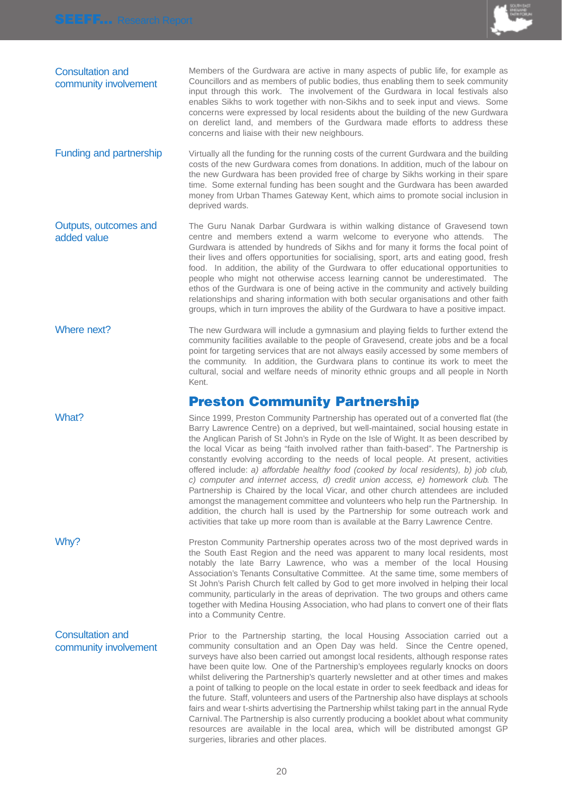

| <b>Consultation and</b><br>community involvement | Members of the Gurdwara are active in many aspects of public life, for example as<br>Councillors and as members of public bodies, thus enabling them to seek community<br>input through this work. The involvement of the Gurdwara in local festivals also<br>enables Sikhs to work together with non-Sikhs and to seek input and views. Some<br>concerns were expressed by local residents about the building of the new Gurdwara<br>on derelict land, and members of the Gurdwara made efforts to address these<br>concerns and liaise with their new neighbours. |
|--------------------------------------------------|---------------------------------------------------------------------------------------------------------------------------------------------------------------------------------------------------------------------------------------------------------------------------------------------------------------------------------------------------------------------------------------------------------------------------------------------------------------------------------------------------------------------------------------------------------------------|
| Funding and partnership                          | Virtually all the funding for the running costs of the current Gurdwara and the building                                                                                                                                                                                                                                                                                                                                                                                                                                                                            |

costs of the new Gurdwara comes from donations. In addition, much of the labour on the new Gurdwara has been provided free of charge by Sikhs working in their spare time. Some external funding has been sought and the Gurdwara has been awarded money from Urban Thames Gateway Kent, which aims to promote social inclusion in deprived wards.

- The Guru Nanak Darbar Gurdwara is within walking distance of Gravesend town centre and members extend a warm welcome to everyone who attends. The Gurdwara is attended by hundreds of Sikhs and for many it forms the focal point of their lives and offers opportunities for socialising, sport, arts and eating good, fresh food. In addition, the ability of the Gurdwara to offer educational opportunities to people who might not otherwise access learning cannot be underestimated. The ethos of the Gurdwara is one of being active in the community and actively building relationships and sharing information with both secular organisations and other faith groups, which in turn improves the ability of the Gurdwara to have a positive impact. Outputs, outcomes and added value
- Where next? The new Gurdwara will include a gymnasium and playing fields to further extend the community facilities available to the people of Gravesend, create jobs and be a focal point for targeting services that are not always easily accessed by some members of the community. In addition, the Gurdwara plans to continue its work to meet the cultural, social and welfare needs of minority ethnic groups and all people in North Kent.

## **Preston Community Partnership**

What? Since 1999, Preston Community Partnership has operated out of a converted flat (the Barry Lawrence Centre) on a deprived, but well-maintained, social housing estate in the Anglican Parish of St John's in Ryde on the Isle of Wight. It as been described by the local Vicar as being "faith involved rather than faith-based". The Partnership is constantly evolving according to the needs of local people. At present, activities offered include: a) affordable healthy food (cooked by local residents), b) job club, c) computer and internet access, d) credit union access, e) homework club. The Partnership is Chaired by the local Vicar, and other church attendees are included amongst the management committee and volunteers who help run the Partnership. In addition, the church hall is used by the Partnership for some outreach work and activities that take up more room than is available at the Barry Lawrence Centre.

Why? **Preston Community Partnership operates across two of the most deprived wards in** the South East Region and the need was apparent to many local residents, most notably the late Barry Lawrence, who was a member of the local Housing Association's Tenants Consultative Committee. At the same time, some members of St John's Parish Church felt called by God to get more involved in helping their local community, particularly in the areas of deprivation. The two groups and others came together with Medina Housing Association, who had plans to convert one of their flats into a Community Centre.

Prior to the Partnership starting, the local Housing Association carried out a community consultation and an Open Day was held. Since the Centre opened, surveys have also been carried out amongst local residents, although response rates have been quite low. One of the Partnership's employees regularly knocks on doors whilst delivering the Partnership's quarterly newsletter and at other times and makes a point of talking to people on the local estate in order to seek feedback and ideas for the future. Staff, volunteers and users of the Partnership also have displays at schools fairs and wear t-shirts advertising the Partnership whilst taking part in the annual Ryde Carnival. The Partnership is also currently producing a booklet about what community resources are available in the local area, which will be distributed amongst GP surgeries, libraries and other places. community involvement

## Consultation and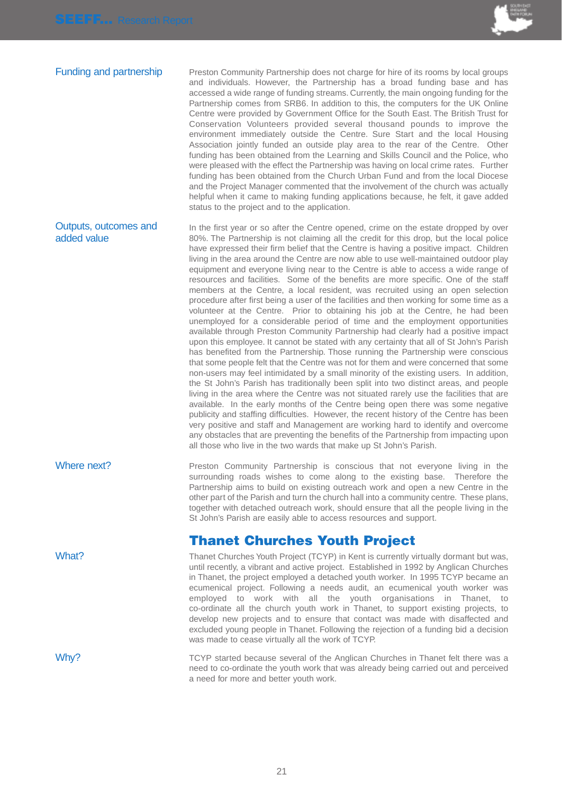

Funding and partnership Preston Community Partnership does not charge for hire of its rooms by local groups and individuals. However, the Partnership has a broad funding base and has accessed a wide range of funding streams. Currently, the main ongoing funding for the Partnership comes from SRB6. In addition to this, the computers for the UK Online Centre were provided by Government Office for the South East. The British Trust for Conservation Volunteers provided several thousand pounds to improve the environment immediately outside the Centre. Sure Start and the local Housing Association jointly funded an outside play area to the rear of the Centre. Other funding has been obtained from the Learning and Skills Council and the Police, who were pleased with the effect the Partnership was having on local crime rates. Further funding has been obtained from the Church Urban Fund and from the local Diocese and the Project Manager commented that the involvement of the church was actually helpful when it came to making funding applications because, he felt, it gave added status to the project and to the application.

In the first year or so after the Centre opened, crime on the estate dropped by over 80%. The Partnership is not claiming all the credit for this drop, but the local police have expressed their firm belief that the Centre is having a positive impact. Children living in the area around the Centre are now able to use well-maintained outdoor play equipment and everyone living near to the Centre is able to access a wide range of resources and facilities. Some of the benefits are more specific. One of the staff members at the Centre, a local resident, was recruited using an open selection procedure after first being a user of the facilities and then working for some time as a volunteer at the Centre. Prior to obtaining his job at the Centre, he had been unemployed for a considerable period of time and the employment opportunities available through Preston Community Partnership had clearly had a positive impact upon this employee. It cannot be stated with any certainty that all of St John's Parish has benefited from the Partnership. Those running the Partnership were conscious that some people felt that the Centre was not for them and were concerned that some non-users may feel intimidated by a small minority of the existing users. In addition, the St John's Parish has traditionally been split into two distinct areas, and people living in the area where the Centre was not situated rarely use the facilities that are available. In the early months of the Centre being open there was some negative publicity and staffing difficulties. However, the recent history of the Centre has been very positive and staff and Management are working hard to identify and overcome any obstacles that are preventing the benefits of the Partnership from impacting upon all those who live in the two wards that make up St John's Parish. Outputs, outcomes and added value

Where next? Preston Community Partnership is conscious that not everyone living in the surrounding roads wishes to come along to the existing base. Therefore the Partnership aims to build on existing outreach work and open a new Centre in the other part of the Parish and turn the church hall into a community centre. These plans, together with detached outreach work, should ensure that all the people living in the St John's Parish are easily able to access resources and support.

## **Thanet Churches Youth Project**

What? Thanet Churches Youth Project (TCYP) in Kent is currently virtually dormant but was, until recently, a vibrant and active project. Established in 1992 by Anglican Churches in Thanet, the project employed a detached youth worker. In 1995 TCYP became an ecumenical project. Following a needs audit, an ecumenical youth worker was employed to work with all the youth organisations in Thanet, to co-ordinate all the church youth work in Thanet, to support existing projects, to develop new projects and to ensure that contact was made with disaffected and excluded young people in Thanet. Following the rejection of a funding bid a decision was made to cease virtually all the work of TCYP.

Why? TCYP started because several of the Anglican Churches in Thanet felt there was a need to co-ordinate the youth work that was already being carried out and perceived a need for more and better youth work.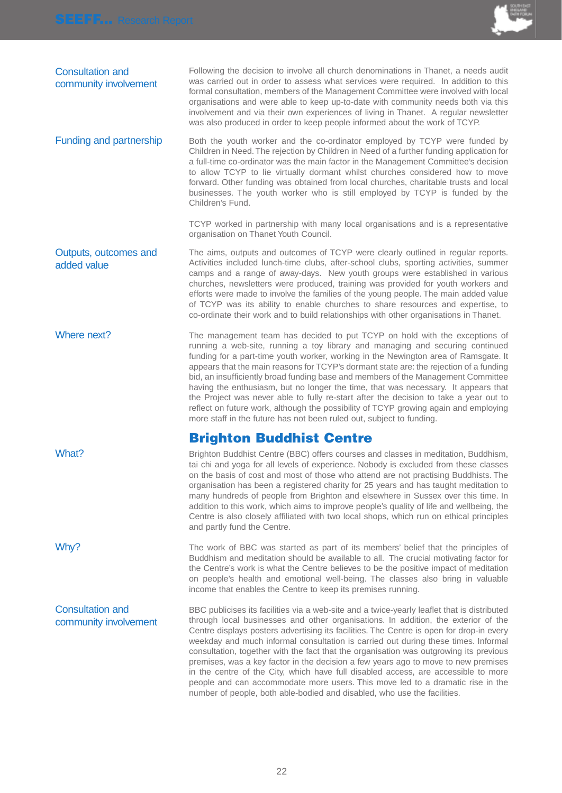

| <b>Consultation and</b><br>community involvement | Following the decision to involve all church denominations in Thanet, a needs audit<br>was carried out in order to assess what services were required. In addition to this<br>formal consultation, members of the Management Committee were involved with local<br>organisations and were able to keep up-to-date with community needs both via this<br>involvement and via their own experiences of living in Thanet. A regular newsletter<br>was also produced in order to keep people informed about the work of TCYP.                                                                                                                                                                                                                                                                               |
|--------------------------------------------------|---------------------------------------------------------------------------------------------------------------------------------------------------------------------------------------------------------------------------------------------------------------------------------------------------------------------------------------------------------------------------------------------------------------------------------------------------------------------------------------------------------------------------------------------------------------------------------------------------------------------------------------------------------------------------------------------------------------------------------------------------------------------------------------------------------|
| Funding and partnership                          | Both the youth worker and the co-ordinator employed by TCYP were funded by<br>Children in Need. The rejection by Children in Need of a further funding application for<br>a full-time co-ordinator was the main factor in the Management Committee's decision<br>to allow TCYP to lie virtually dormant whilst churches considered how to move<br>forward. Other funding was obtained from local churches, charitable trusts and local<br>businesses. The youth worker who is still employed by TCYP is funded by the<br>Children's Fund.                                                                                                                                                                                                                                                               |
|                                                  | TCYP worked in partnership with many local organisations and is a representative<br>organisation on Thanet Youth Council.                                                                                                                                                                                                                                                                                                                                                                                                                                                                                                                                                                                                                                                                               |
| Outputs, outcomes and<br>added value             | The aims, outputs and outcomes of TCYP were clearly outlined in regular reports.<br>Activities included lunch-time clubs, after-school clubs, sporting activities, summer<br>camps and a range of away-days. New youth groups were established in various<br>churches, newsletters were produced, training was provided for youth workers and<br>efforts were made to involve the families of the young people. The main added value<br>of TCYP was its ability to enable churches to share resources and expertise, to<br>co-ordinate their work and to build relationships with other organisations in Thanet.                                                                                                                                                                                        |
| Where next?                                      | The management team has decided to put TCYP on hold with the exceptions of<br>running a web-site, running a toy library and managing and securing continued<br>funding for a part-time youth worker, working in the Newington area of Ramsgate. It<br>appears that the main reasons for TCYP's dormant state are: the rejection of a funding<br>bid, an insufficiently broad funding base and members of the Management Committee<br>having the enthusiasm, but no longer the time, that was necessary. It appears that<br>the Project was never able to fully re-start after the decision to take a year out to<br>reflect on future work, although the possibility of TCYP growing again and employing<br>more staff in the future has not been ruled out, subject to funding.                        |
|                                                  | <b>Brighton Buddhist Centre</b>                                                                                                                                                                                                                                                                                                                                                                                                                                                                                                                                                                                                                                                                                                                                                                         |
| What?                                            | Brighton Buddhist Centre (BBC) offers courses and classes in meditation, Buddhism,<br>tai chi and yoga for all levels of experience. Nobody is excluded from these classes<br>on the basis of cost and most of those who attend are not practising Buddhists. The<br>organisation has been a registered charity for 25 years and has taught meditation to<br>many hundreds of people from Brighton and elsewhere in Sussex over this time. In<br>addition to this work, which aims to improve people's quality of life and wellbeing, the<br>Centre is also closely affiliated with two local shops, which run on ethical principles<br>and partly fund the Centre.                                                                                                                                     |
| Why?                                             | The work of BBC was started as part of its members' belief that the principles of<br>Buddhism and meditation should be available to all. The crucial motivating factor for<br>the Centre's work is what the Centre believes to be the positive impact of meditation<br>on people's health and emotional well-being. The classes also bring in valuable<br>income that enables the Centre to keep its premises running.                                                                                                                                                                                                                                                                                                                                                                                  |
| <b>Consultation and</b><br>community involvement | BBC publicises its facilities via a web-site and a twice-yearly leaflet that is distributed<br>through local businesses and other organisations. In addition, the exterior of the<br>Centre displays posters advertising its facilities. The Centre is open for drop-in every<br>weekday and much informal consultation is carried out during these times. Informal<br>consultation, together with the fact that the organisation was outgrowing its previous<br>premises, was a key factor in the decision a few years ago to move to new premises<br>in the centre of the City, which have full disabled access, are accessible to more<br>people and can accommodate more users. This move led to a dramatic rise in the<br>number of people, both able-bodied and disabled, who use the facilities. |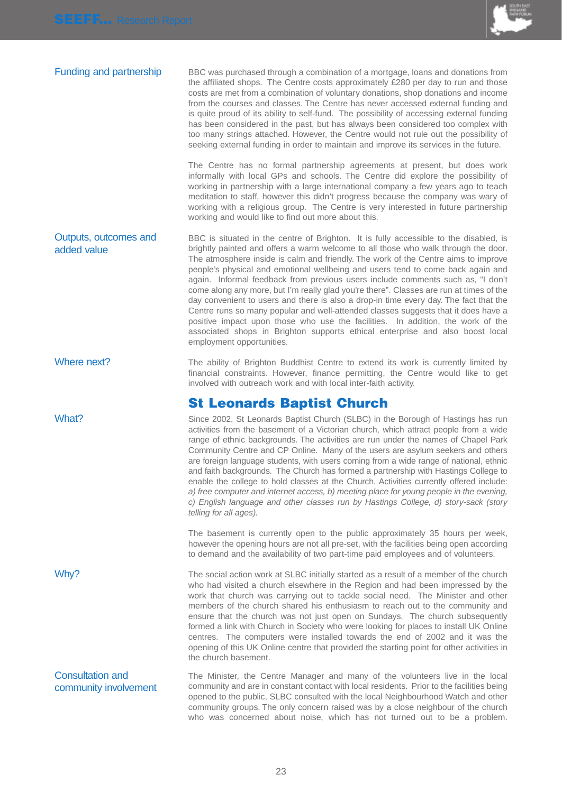

| Funding and partnership | BBC was purchased through a combination of a mortgage, loans and donations from<br>the affiliated shops. The Centre costs approximately £280 per day to run and those<br>costs are met from a combination of voluntary donations, shop donations and income<br>from the courses and classes. The Centre has never accessed external funding and<br>is quite proud of its ability to self-fund. The possibility of accessing external funding<br>has been considered in the past, but has always been considered too complex with<br>too many strings attached. However, the Centre would not rule out the possibility of<br>seeking external funding in order to maintain and improve its services in the future. |
|-------------------------|-------------------------------------------------------------------------------------------------------------------------------------------------------------------------------------------------------------------------------------------------------------------------------------------------------------------------------------------------------------------------------------------------------------------------------------------------------------------------------------------------------------------------------------------------------------------------------------------------------------------------------------------------------------------------------------------------------------------|
|                         |                                                                                                                                                                                                                                                                                                                                                                                                                                                                                                                                                                                                                                                                                                                   |

The Centre has no formal partnership agreements at present, but does work informally with local GPs and schools. The Centre did explore the possibility of working in partnership with a large international company a few years ago to teach meditation to staff, however this didn't progress because the company was wary of working with a religious group. The Centre is very interested in future partnership working and would like to find out more about this.

BBC is situated in the centre of Brighton. It is fully accessible to the disabled, is brightly painted and offers a warm welcome to all those who walk through the door. The atmosphere inside is calm and friendly. The work of the Centre aims to improve people's physical and emotional wellbeing and users tend to come back again and again. Informal feedback from previous users include comments such as, "I don't come along any more, but I'm really glad you're there". Classes are run at times of the day convenient to users and there is also a drop-in time every day. The fact that the Centre runs so many popular and well-attended classes suggests that it does have a positive impact upon those who use the facilities. In addition, the work of the associated shops in Brighton supports ethical enterprise and also boost local employment opportunities. Outputs, outcomes and added value

### Where next? The ability of Brighton Buddhist Centre to extend its work is currently limited by financial constraints. However, finance permitting, the Centre would like to get involved with outreach work and with local inter-faith activity.

## **St Leonards Baptist Church**

What? Since 2002, St Leonards Baptist Church (SLBC) in the Borough of Hastings has run activities from the basement of a Victorian church, which attract people from a wide range of ethnic backgrounds. The activities are run under the names of Chapel Park Community Centre and CP Online. Many of the users are asylum seekers and others are foreign language students, with users coming from a wide range of national, ethnic and faith backgrounds. The Church has formed a partnership with Hastings College to enable the college to hold classes at the Church. Activities currently offered include: a) free computer and internet access, b) meeting place for young people in the evening, c) English language and other classes run by Hastings College, d) story-sack (story telling for all ages).

> The basement is currently open to the public approximately 35 hours per week, however the opening hours are not all pre-set, with the facilities being open according to demand and the availability of two part-time paid employees and of volunteers.

Why? The social action work at SLBC initially started as a result of a member of the church who had visited a church elsewhere in the Region and had been impressed by the work that church was carrying out to tackle social need. The Minister and other members of the church shared his enthusiasm to reach out to the community and ensure that the church was not just open on Sundays. The church subsequently formed a link with Church in Society who were looking for places to install UK Online centres. The computers were installed towards the end of 2002 and it was the opening of this UK Online centre that provided the starting point for other activities in the church basement.

The Minister, the Centre Manager and many of the volunteers live in the local community and are in constant contact with local residents. Prior to the facilities being opened to the public, SLBC consulted with the local Neighbourhood Watch and other community groups. The only concern raised was by a close neighbour of the church who was concerned about noise, which has not turned out to be a problem. Consultation and community involvement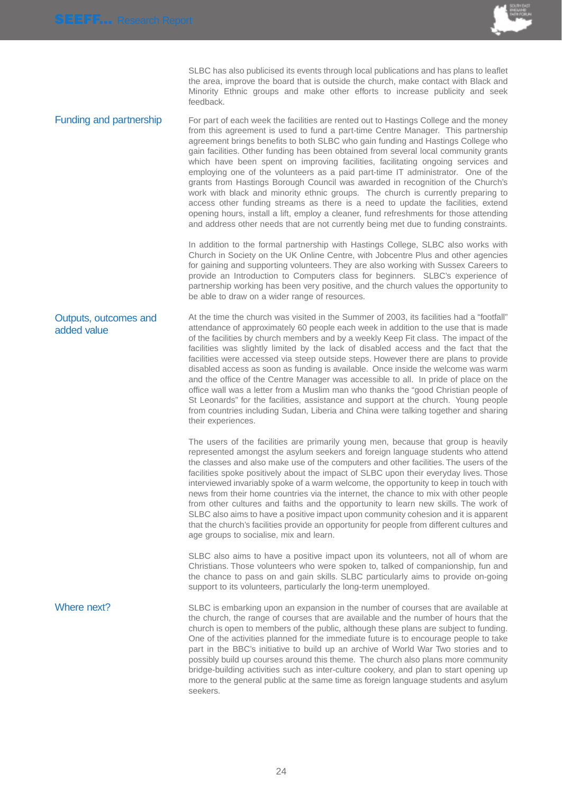

SLBC has also publicised its events through local publications and has plans to leaflet the area, improve the board that is outside the church, make contact with Black and Minority Ethnic groups and make other efforts to increase publicity and seek feedback.

Funding and partnership For part of each week the facilities are rented out to Hastings College and the money from this agreement is used to fund a part-time Centre Manager. This partnership agreement brings benefits to both SLBC who gain funding and Hastings College who gain facilities. Other funding has been obtained from several local community grants which have been spent on improving facilities, facilitating ongoing services and employing one of the volunteers as a paid part-time IT administrator. One of the grants from Hastings Borough Council was awarded in recognition of the Church's work with black and minority ethnic groups. The church is currently preparing to access other funding streams as there is a need to update the facilities, extend opening hours, install a lift, employ a cleaner, fund refreshments for those attending and address other needs that are not currently being met due to funding constraints.

> In addition to the formal partnership with Hastings College, SLBC also works with Church in Society on the UK Online Centre, with Jobcentre Plus and other agencies for gaining and supporting volunteers. They are also working with Sussex Careers to provide an Introduction to Computers class for beginners. SLBC's experience of partnership working has been very positive, and the church values the opportunity to be able to draw on a wider range of resources.

At the time the church was visited in the Summer of 2003, its facilities had a "footfall" attendance of approximately 60 people each week in addition to the use that is made of the facilities by church members and by a weekly Keep Fit class. The impact of the facilities was slightly limited by the lack of disabled access and the fact that the facilities were accessed via steep outside steps. However there are plans to provide disabled access as soon as funding is available. Once inside the welcome was warm and the office of the Centre Manager was accessible to all. In pride of place on the office wall was a letter from a Muslim man who thanks the "good Christian people of St Leonards" for the facilities, assistance and support at the church. Young people from countries including Sudan, Liberia and China were talking together and sharing their experiences. Outputs, outcomes and added value

> The users of the facilities are primarily young men, because that group is heavily represented amongst the asylum seekers and foreign language students who attend the classes and also make use of the computers and other facilities. The users of the facilities spoke positively about the impact of SLBC upon their everyday lives. Those interviewed invariably spoke of a warm welcome, the opportunity to keep in touch with news from their home countries via the internet, the chance to mix with other people from other cultures and faiths and the opportunity to learn new skills. The work of SLBC also aims to have a positive impact upon community cohesion and it is apparent that the church's facilities provide an opportunity for people from different cultures and age groups to socialise, mix and learn.

> SLBC also aims to have a positive impact upon its volunteers, not all of whom are Christians. Those volunteers who were spoken to, talked of companionship, fun and the chance to pass on and gain skills. SLBC particularly aims to provide on-going support to its volunteers, particularly the long-term unemployed.

Where next? SLBC is embarking upon an expansion in the number of courses that are available at the church, the range of courses that are available and the number of hours that the church is open to members of the public, although these plans are subject to funding. One of the activities planned for the immediate future is to encourage people to take part in the BBC's initiative to build up an archive of World War Two stories and to possibly build up courses around this theme. The church also plans more community bridge-building activities such as inter-culture cookery, and plan to start opening up more to the general public at the same time as foreign language students and asylum seekers.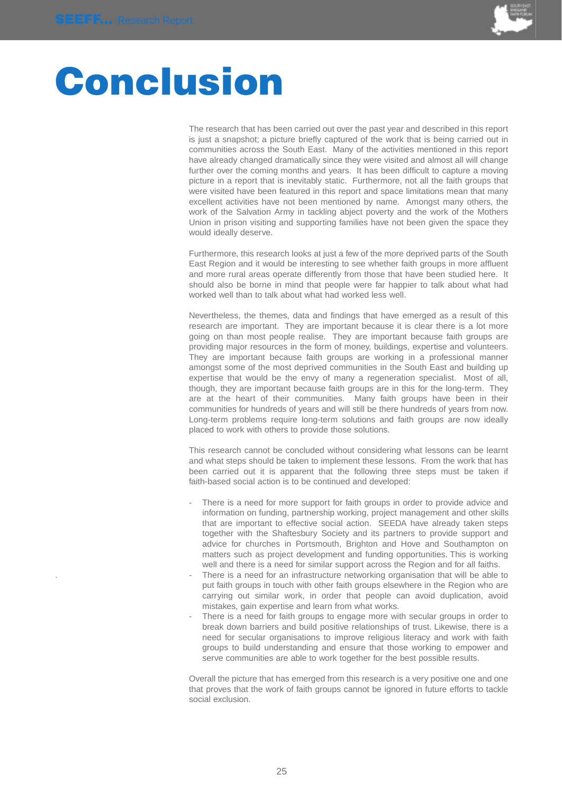

## **Conclusion**

The research that has been carried out over the past year and described in this report is just a snapshot; a picture briefly captured of the work that is being carried out in communities across the South East. Many of the activities mentioned in this report have already changed dramatically since they were visited and almost all will change further over the coming months and years. It has been difficult to capture a moving picture in a report that is inevitably static. Furthermore, not all the faith groups that were visited have been featured in this report and space limitations mean that many excellent activities have not been mentioned by name. Amongst many others, the work of the Salvation Army in tackling abject poverty and the work of the Mothers Union in prison visiting and supporting families have not been given the space they would ideally deserve.

Furthermore, this research looks at just a few of the more deprived parts of the South East Region and it would be interesting to see whether faith groups in more affluent and more rural areas operate differently from those that have been studied here. It should also be borne in mind that people were far happier to talk about what had worked well than to talk about what had worked less well.

Nevertheless, the themes, data and findings that have emerged as a result of this research are important. They are important because it is clear there is a lot more going on than most people realise. They are important because faith groups are providing major resources in the form of money, buildings, expertise and volunteers. They are important because faith groups are working in a professional manner amongst some of the most deprived communities in the South East and building up expertise that would be the envy of many a regeneration specialist. Most of all, though, they are important because faith groups are in this for the long-term. They are at the heart of their communities. Many faith groups have been in their communities for hundreds of years and will still be there hundreds of years from now. Long-term problems require long-term solutions and faith groups are now ideally placed to work with others to provide those solutions.

This research cannot be concluded without considering what lessons can be learnt and what steps should be taken to implement these lessons. From the work that has been carried out it is apparent that the following three steps must be taken if faith-based social action is to be continued and developed:

- There is a need for more support for faith groups in order to provide advice and information on funding, partnership working, project management and other skills that are important to effective social action. SEEDA have already taken steps together with the Shaftesbury Society and its partners to provide support and advice for churches in Portsmouth, Brighton and Hove and Southampton on matters such as project development and funding opportunities. This is working well and there is a need for similar support across the Region and for all faiths.
- There is a need for an infrastructure networking organisation that will be able to put faith groups in touch with other faith groups elsewhere in the Region who are carrying out similar work, in order that people can avoid duplication, avoid mistakes, gain expertise and learn from what works.
- There is a need for faith groups to engage more with secular groups in order to break down barriers and build positive relationships of trust. Likewise, there is a need for secular organisations to improve religious literacy and work with faith groups to build understanding and ensure that those working to empower and serve communities are able to work together for the best possible results.

Overall the picture that has emerged from this research is a very positive one and one that proves that the work of faith groups cannot be ignored in future efforts to tackle social exclusion.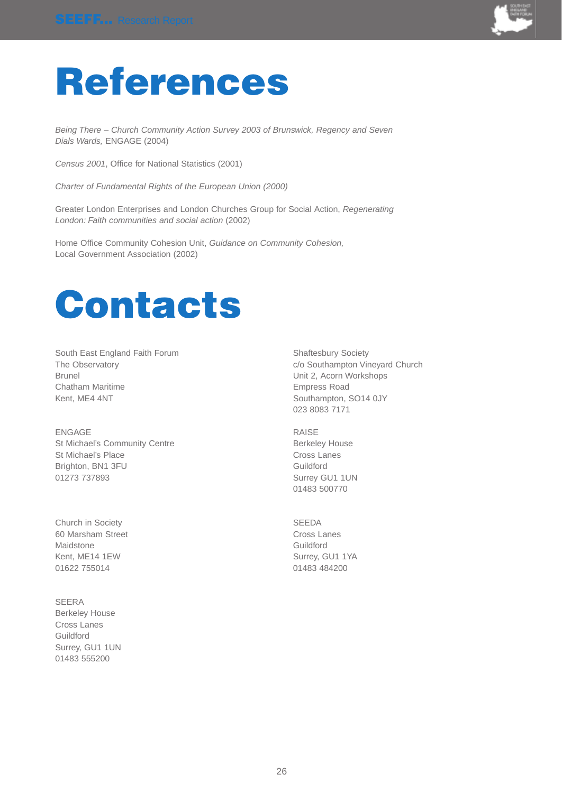

## **References**

Being There – Church Community Action Survey 2003 of Brunswick, Regency and Seven Dials Wards, ENGAGE (2004)

Census 2001, Office for National Statistics (2001)

Charter of Fundamental Rights of the European Union (2000)

Greater London Enterprises and London Churches Group for Social Action, Regenerating London: Faith communities and social action (2002)

Home Office Community Cohesion Unit, Guidance on Community Cohesion, Local Government Association (2002)



South East England Faith Forum Shaftesbury Society Brunel Unit 2, Acorn Workshops Chatham Maritime **Empress Road** Kent, ME4 4NT Southampton, SO14 0JY

ENGAGE RAISE St Michael's Community Centre **Berkeley House** Berkeley House St Michael's Place Cross Lanes Brighton, BN1 3FU Guildford 01273 737893 Surrey GU1 1UN

Church in Society SEEDA 60 Marsham Street **Cross Lanes** Cross Lanes Maidstone **Guildford** Kent, ME14 1EW Surrey, GU1 1YA 01622 755014 01622 01483 01483 01483 01483 01483 01483 01483 01483 01483 01483 01

### SEERA Berkeley House Cross Lanes Guildford Surrey, GU1 1UN 01483 555200

The Observatory **Containers** containers containers containers containers containers containers containers containers containers containers containers containers containers containers containers containers containers contai 023 8083 7171

01483 500770